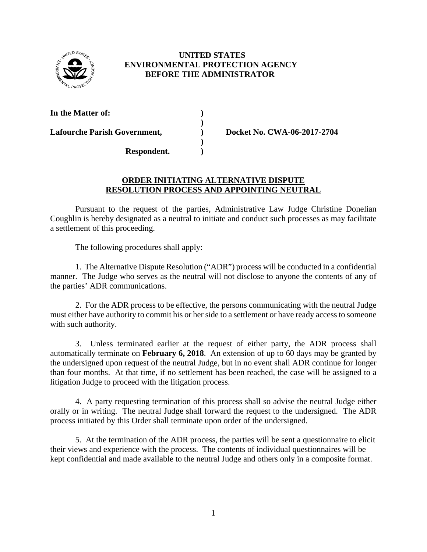

## **UNITED STATES ENVIRONMENTAL PROTECTION AGENCY BEFORE THE ADMINISTRATOR**

**)** 

**)**

**In the Matter of: )**

Lafourche Parish Government,  $Docket No. CWA-06-2017-2704$ 

## **ORDER INITIATING ALTERNATIVE DISPUTE RESOLUTION PROCESS AND APPOINTING NEUTRAL**

Pursuant to the request of the parties, Administrative Law Judge Christine Donelian Coughlin is hereby designated as a neutral to initiate and conduct such processes as may facilitate a settlement of this proceeding.

The following procedures shall apply:

**Respondent. )**

1. The Alternative Dispute Resolution ("ADR") process will be conducted in a confidential manner. The Judge who serves as the neutral will not disclose to anyone the contents of any of the parties' ADR communications.

2. For the ADR process to be effective, the persons communicating with the neutral Judge must either have authority to commit his or her side to a settlement or have ready access to someone with such authority.

3. Unless terminated earlier at the request of either party, the ADR process shall automatically terminate on **February 6, 2018**. An extension of up to 60 days may be granted by the undersigned upon request of the neutral Judge, but in no event shall ADR continue for longer than four months. At that time, if no settlement has been reached, the case will be assigned to a litigation Judge to proceed with the litigation process.

4. A party requesting termination of this process shall so advise the neutral Judge either orally or in writing. The neutral Judge shall forward the request to the undersigned. The ADR process initiated by this Order shall terminate upon order of the undersigned.

5. At the termination of the ADR process, the parties will be sent a questionnaire to elicit their views and experience with the process. The contents of individual questionnaires will be kept confidential and made available to the neutral Judge and others only in a composite format.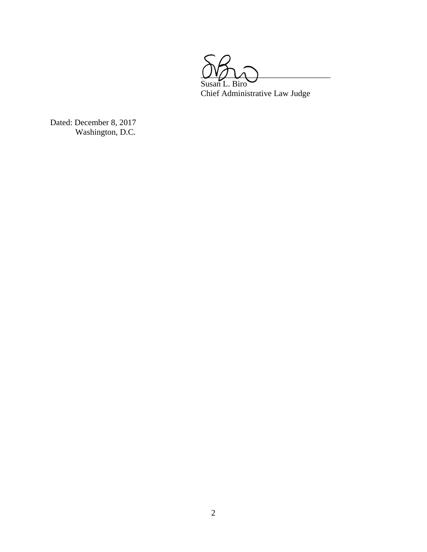

Dated: December 8, 2017 Washington, D.C.